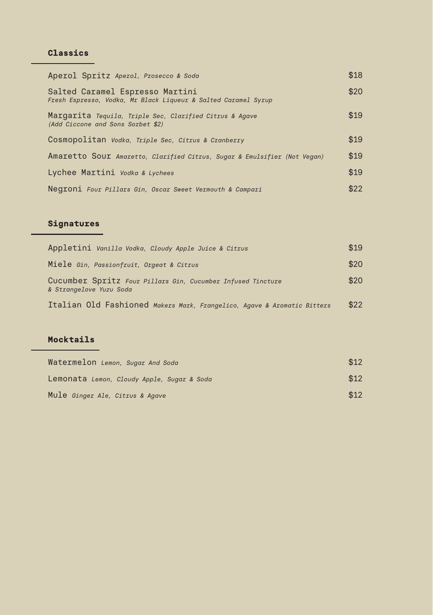# **Classics**

| Aperol Spritz Aperol, Prosecco & Soda                                                             | \$18 |
|---------------------------------------------------------------------------------------------------|------|
| Salted Caramel Espresso Martini<br>Fresh Espresso, Vodka, Mr Black Liqueur & Salted Caramel Syrup | \$20 |
| Margarita Tequila, Triple Sec, Clarified Citrus & Agave<br>(Add Ciccone and Sons Sorbet \$2)      | \$19 |
| Cosmopolitan Vodka, Triple Sec, Citrus & Cranberry                                                | \$19 |
| Amaretto Sour Amaretto, Clarified Citrus, Sugar & Emulsifier (Not Vegan)                          | \$19 |
| Lychee Martini Vodka & Lychees                                                                    | \$19 |
| Negroni Four Pillars Gin, Oscar Sweet Vermouth & Campari                                          | \$22 |

## **Signatures**

| Appletini Vanilla Vodka, Cloudy Apple Juice & Citrus                                   | \$19 |
|----------------------------------------------------------------------------------------|------|
| Miele Gin, Passionfruit, Orgeat & Citrus                                               | \$20 |
| Cucumber Spritz Four Pillars Gin, Cucumber Infused Tincture<br>& Strangelove Yuzu Soda | \$20 |
| Italian Old Fashioned Makers Mark, Frangelico, Agave & Aromatic Bitters                | \$22 |

#### **Mocktails**

| Watermelon Lemon, Sugar And Soda           | \$12 |
|--------------------------------------------|------|
| Lemonata Lemon, Cloudy Apple, Sugar & Soda | \$12 |
| Mule Ginger Ale, Citrus & Agave            | \$12 |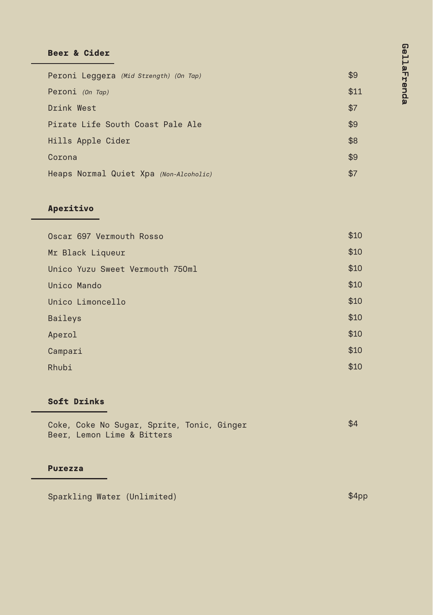### **Beer & Cider**

| Peroni Leggera (Mid Strength) (On Tap) | \$9  |
|----------------------------------------|------|
| Peroni (On Tap)                        | \$11 |
| Drink West                             | \$7  |
| Pirate Life South Coast Pale Ale       | \$9  |
| Hills Apple Cider                      | \$8  |
| Corona                                 | \$9  |
| Heaps Normal Quiet Xpa (Non-Alcoholic) | \$7  |

## **Aperitivo**

| Oscar 697 Vermouth Rosso        | \$10 |
|---------------------------------|------|
| Mr Black Liqueur                | \$10 |
| Unico Yuzu Sweet Vermouth 750ml | \$10 |
| Unico Mando                     | \$10 |
| Unico Limoncello                | \$10 |
| <b>Baileys</b>                  | \$10 |
| Aperol                          | \$10 |
| Campari                         | \$10 |
| Rhubi                           | \$10 |

## **Soft Drinks**

| Coke, Coke No Sugar, Sprite, Tonic, Ginger |  | \$4 |
|--------------------------------------------|--|-----|
| Beer, Lemon Lime & Bitters                 |  |     |

### **Purezza**

Sparkling Water (Unlimited) \$4pp